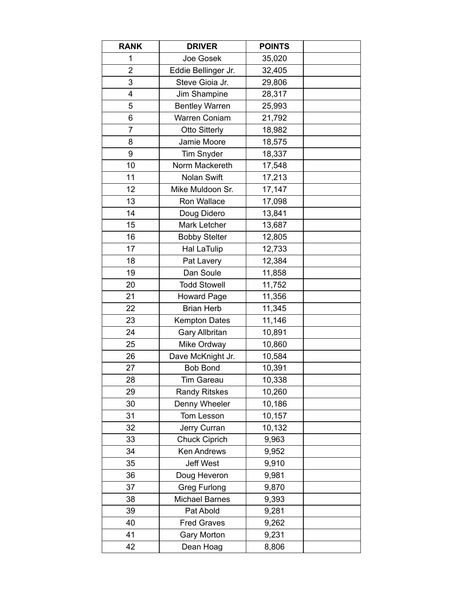| <b>RANK</b>    | <b>DRIVER</b>         | <b>POINTS</b> |  |
|----------------|-----------------------|---------------|--|
| 1              | Joe Gosek             | 35,020        |  |
| $\overline{2}$ | Eddie Bellinger Jr.   | 32,405        |  |
| 3              | Steve Gioia Jr.       | 29,806        |  |
| 4              | Jim Shampine          | 28,317        |  |
| 5              | <b>Bentley Warren</b> | 25,993        |  |
| 6              | Warren Coniam         | 21,792        |  |
| $\overline{7}$ | <b>Otto Sitterly</b>  | 18,982        |  |
| 8              | Jamie Moore           | 18,575        |  |
| 9              | <b>Tim Snyder</b>     | 18,337        |  |
| 10             | Norm Mackereth        | 17,548        |  |
| 11             | <b>Nolan Swift</b>    | 17,213        |  |
| 12             | Mike Muldoon Sr.      | 17,147        |  |
| 13             | Ron Wallace           | 17,098        |  |
| 14             | Doug Didero           | 13,841        |  |
| 15             | Mark Letcher          | 13,687        |  |
| 16             | <b>Bobby Stelter</b>  | 12,805        |  |
| 17             | <b>Hal LaTulip</b>    | 12,733        |  |
| 18             | Pat Lavery            | 12,384        |  |
| 19             | Dan Soule             | 11,858        |  |
| 20             | <b>Todd Stowell</b>   | 11,752        |  |
| 21             | <b>Howard Page</b>    | 11,356        |  |
| 22             | <b>Brian Herb</b>     | 11,345        |  |
| 23             | <b>Kempton Dates</b>  | 11,146        |  |
| 24             | <b>Gary Allbritan</b> | 10,891        |  |
| 25             | Mike Ordway           | 10,860        |  |
| 26             | Dave McKnight Jr.     | 10,584        |  |
| 27             | <b>Bob Bond</b>       | 10,391        |  |
| 28             | Tim Gareau            | 10,338        |  |
| 29             | <b>Randy Ritskes</b>  | 10,260        |  |
| 30             | Denny Wheeler         | 10,186        |  |
| 31             | Tom Lesson            | 10,157        |  |
| 32             | Jerry Curran          | 10,132        |  |
| 33             | <b>Chuck Ciprich</b>  | 9,963         |  |
| 34             | <b>Ken Andrews</b>    | 9,952         |  |
| 35             | <b>Jeff West</b>      | 9,910         |  |
| 36             | Doug Heveron          | 9,981         |  |
| 37             | Greg Furlong          | 9,870         |  |
| 38             | <b>Michael Barnes</b> | 9,393         |  |
| 39             | Pat Abold             | 9,281         |  |
| 40             | <b>Fred Graves</b>    | 9,262         |  |
| 41             | <b>Gary Morton</b>    | 9,231         |  |
| 42             | Dean Hoag             | 8,806         |  |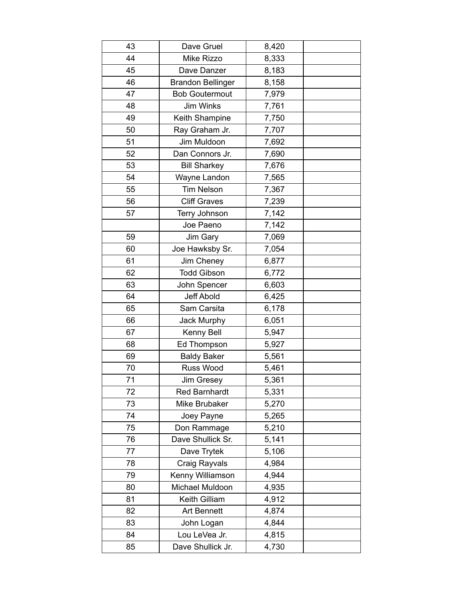| 43 | Dave Gruel               | 8,420 |  |
|----|--------------------------|-------|--|
| 44 | Mike Rizzo               | 8,333 |  |
| 45 | Dave Danzer              | 8,183 |  |
| 46 | <b>Brandon Bellinger</b> | 8,158 |  |
| 47 | <b>Bob Goutermout</b>    | 7,979 |  |
| 48 | <b>Jim Winks</b>         | 7,761 |  |
| 49 | Keith Shampine           | 7,750 |  |
| 50 | Ray Graham Jr.           | 7,707 |  |
| 51 | Jim Muldoon              | 7,692 |  |
| 52 | Dan Connors Jr.          | 7,690 |  |
| 53 | <b>Bill Sharkey</b>      | 7,676 |  |
| 54 | Wayne Landon             | 7,565 |  |
| 55 | <b>Tim Nelson</b>        | 7,367 |  |
| 56 | <b>Cliff Graves</b>      | 7,239 |  |
| 57 | Terry Johnson            | 7,142 |  |
|    | Joe Paeno                | 7,142 |  |
| 59 | Jim Gary                 | 7,069 |  |
| 60 | Joe Hawksby Sr.          | 7,054 |  |
| 61 | Jim Cheney               | 6,877 |  |
| 62 | <b>Todd Gibson</b>       | 6,772 |  |
| 63 | John Spencer             | 6,603 |  |
| 64 | <b>Jeff Abold</b>        | 6,425 |  |
| 65 | Sam Carsita              | 6,178 |  |
| 66 | <b>Jack Murphy</b>       | 6,051 |  |
| 67 | Kenny Bell               | 5,947 |  |
| 68 | Ed Thompson              | 5,927 |  |
| 69 | <b>Baldy Baker</b>       | 5,561 |  |
| 70 | Russ Wood                | 5,461 |  |
| 71 | Jim Gresey               | 5,361 |  |
| 72 | <b>Red Barnhardt</b>     | 5,331 |  |
| 73 | Mike Brubaker            | 5,270 |  |
| 74 | Joey Payne               | 5,265 |  |
| 75 | Don Rammage              | 5,210 |  |
| 76 | Dave Shullick Sr.        | 5,141 |  |
| 77 | Dave Trytek              | 5,106 |  |
| 78 | Craig Rayvals            | 4,984 |  |
| 79 | Kenny Williamson         | 4,944 |  |
| 80 | Michael Muldoon          | 4,935 |  |
| 81 | Keith Gilliam            | 4,912 |  |
| 82 | <b>Art Bennett</b>       | 4,874 |  |
| 83 | John Logan               | 4,844 |  |
| 84 | Lou LeVea Jr.            | 4,815 |  |
| 85 | Dave Shullick Jr.        | 4,730 |  |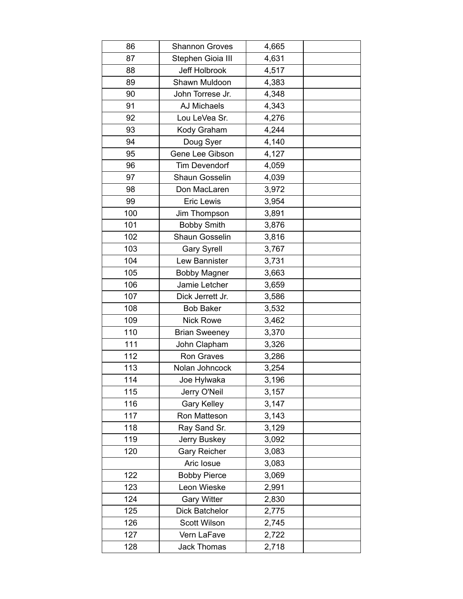| 86  | <b>Shannon Groves</b> | 4,665 |  |
|-----|-----------------------|-------|--|
| 87  | Stephen Gioia III     | 4,631 |  |
| 88  | Jeff Holbrook         | 4,517 |  |
| 89  | Shawn Muldoon         | 4,383 |  |
| 90  | John Torrese Jr.      | 4,348 |  |
| 91  | <b>AJ Michaels</b>    | 4,343 |  |
| 92  | Lou LeVea Sr.         | 4,276 |  |
| 93  | Kody Graham           | 4,244 |  |
| 94  | Doug Syer             | 4,140 |  |
| 95  | Gene Lee Gibson       | 4,127 |  |
| 96  | <b>Tim Devendorf</b>  | 4,059 |  |
| 97  | Shaun Gosselin        | 4,039 |  |
| 98  | Don MacLaren          | 3,972 |  |
| 99  | <b>Eric Lewis</b>     | 3,954 |  |
| 100 | Jim Thompson          | 3,891 |  |
| 101 | <b>Bobby Smith</b>    | 3,876 |  |
| 102 | Shaun Gosselin        | 3,816 |  |
| 103 | <b>Gary Syrell</b>    | 3,767 |  |
| 104 | Lew Bannister         | 3,731 |  |
| 105 | <b>Bobby Magner</b>   | 3,663 |  |
| 106 | Jamie Letcher         | 3,659 |  |
| 107 | Dick Jerrett Jr.      | 3,586 |  |
| 108 | <b>Bob Baker</b>      | 3,532 |  |
| 109 | <b>Nick Rowe</b>      | 3,462 |  |
| 110 | <b>Brian Sweeney</b>  | 3,370 |  |
| 111 | John Clapham          | 3,326 |  |
| 112 | Ron Graves            | 3,286 |  |
| 113 | Nolan Johncock        | 3,254 |  |
| 114 | Joe Hylwaka           | 3,196 |  |
| 115 | Jerry O'Neil          | 3,157 |  |
| 116 | <b>Gary Kelley</b>    | 3,147 |  |
| 117 | Ron Matteson          | 3,143 |  |
| 118 | Ray Sand Sr.          | 3,129 |  |
| 119 | Jerry Buskey          | 3,092 |  |
| 120 | <b>Gary Reicher</b>   | 3,083 |  |
|     | Aric Iosue            | 3,083 |  |
| 122 | <b>Bobby Pierce</b>   | 3,069 |  |
| 123 | Leon Wieske           | 2,991 |  |
| 124 | <b>Gary Witter</b>    | 2,830 |  |
| 125 | Dick Batchelor        | 2,775 |  |
| 126 | Scott Wilson          | 2,745 |  |
| 127 | Vern LaFave           | 2,722 |  |
| 128 | <b>Jack Thomas</b>    | 2,718 |  |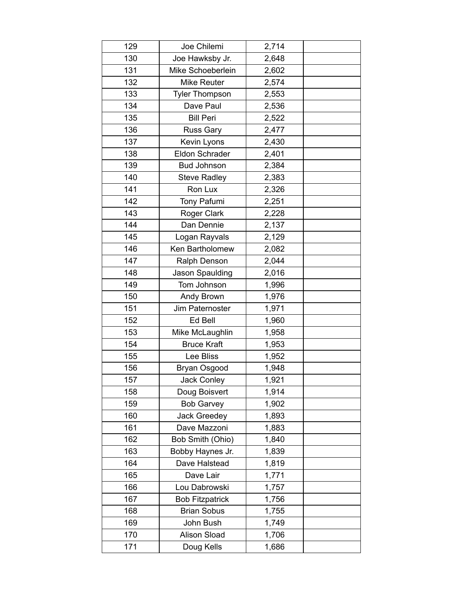| 129 | Joe Chilemi            | 2,714 |  |
|-----|------------------------|-------|--|
| 130 | Joe Hawksby Jr.        | 2,648 |  |
| 131 | Mike Schoeberlein      | 2,602 |  |
| 132 | <b>Mike Reuter</b>     | 2,574 |  |
| 133 | <b>Tyler Thompson</b>  | 2,553 |  |
| 134 | Dave Paul              | 2,536 |  |
| 135 | <b>Bill Peri</b>       | 2,522 |  |
| 136 | <b>Russ Gary</b>       | 2,477 |  |
| 137 | Kevin Lyons            | 2,430 |  |
| 138 | <b>Eldon Schrader</b>  | 2,401 |  |
| 139 | <b>Bud Johnson</b>     | 2,384 |  |
| 140 | <b>Steve Radley</b>    | 2,383 |  |
| 141 | Ron Lux                | 2,326 |  |
| 142 | Tony Pafumi            | 2,251 |  |
| 143 | Roger Clark            | 2,228 |  |
| 144 | Dan Dennie             | 2,137 |  |
| 145 | Logan Rayvals          | 2,129 |  |
| 146 | Ken Bartholomew        | 2,082 |  |
| 147 | Ralph Denson           | 2,044 |  |
| 148 | Jason Spaulding        | 2,016 |  |
| 149 | Tom Johnson            | 1,996 |  |
| 150 | Andy Brown             | 1,976 |  |
| 151 | Jim Paternoster        | 1,971 |  |
| 152 | Ed Bell                | 1,960 |  |
| 153 | Mike McLaughlin        | 1,958 |  |
| 154 | <b>Bruce Kraft</b>     | 1,953 |  |
| 155 | Lee Bliss              | 1,952 |  |
| 156 | Bryan Osgood           | 1,948 |  |
| 157 | <b>Jack Conley</b>     | 1,921 |  |
| 158 | Doug Boisvert          | 1,914 |  |
| 159 | <b>Bob Garvey</b>      | 1,902 |  |
| 160 | <b>Jack Greedey</b>    | 1,893 |  |
| 161 | Dave Mazzoni           | 1,883 |  |
| 162 | Bob Smith (Ohio)       | 1,840 |  |
| 163 | Bobby Haynes Jr.       | 1,839 |  |
| 164 | Dave Halstead          | 1,819 |  |
| 165 | Dave Lair              | 1,771 |  |
| 166 | Lou Dabrowski          | 1,757 |  |
| 167 | <b>Bob Fitzpatrick</b> | 1,756 |  |
| 168 | <b>Brian Sobus</b>     | 1,755 |  |
| 169 | John Bush              | 1,749 |  |
| 170 | <b>Alison Sload</b>    | 1,706 |  |
| 171 | Doug Kells             | 1,686 |  |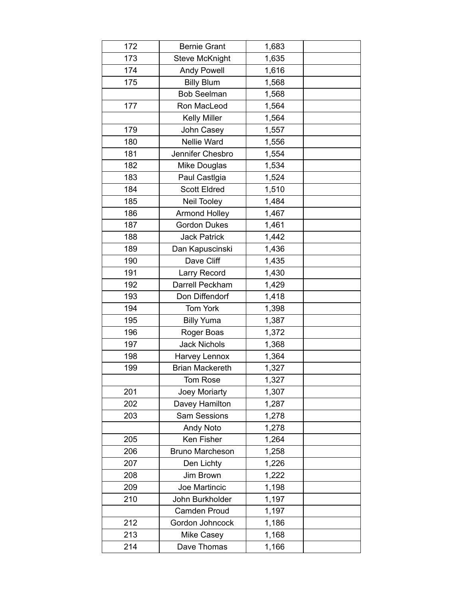| 172 | <b>Bernie Grant</b>    | 1,683 |  |
|-----|------------------------|-------|--|
| 173 | <b>Steve McKnight</b>  | 1,635 |  |
| 174 | <b>Andy Powell</b>     | 1,616 |  |
| 175 | <b>Billy Blum</b>      | 1,568 |  |
|     | <b>Bob Seelman</b>     | 1,568 |  |
| 177 | Ron MacLeod            | 1,564 |  |
|     | <b>Kelly Miller</b>    | 1,564 |  |
| 179 | John Casey             | 1,557 |  |
| 180 | Nellie Ward            | 1,556 |  |
| 181 | Jennifer Chesbro       | 1,554 |  |
| 182 | Mike Douglas           | 1,534 |  |
| 183 | Paul CastIgia          | 1,524 |  |
| 184 | <b>Scott Eldred</b>    | 1,510 |  |
| 185 | <b>Neil Tooley</b>     | 1,484 |  |
| 186 | <b>Armond Holley</b>   | 1,467 |  |
| 187 | <b>Gordon Dukes</b>    | 1,461 |  |
| 188 | <b>Jack Patrick</b>    | 1,442 |  |
| 189 | Dan Kapuscinski        | 1,436 |  |
| 190 | Dave Cliff             | 1,435 |  |
| 191 | Larry Record           | 1,430 |  |
| 192 | Darrell Peckham        | 1,429 |  |
| 193 | Don Diffendorf         | 1,418 |  |
| 194 | Tom York               | 1,398 |  |
| 195 | <b>Billy Yuma</b>      | 1,387 |  |
| 196 | Roger Boas             | 1,372 |  |
| 197 | <b>Jack Nichols</b>    | 1,368 |  |
| 198 | Harvey Lennox          | 1,364 |  |
| 199 | <b>Brian Mackereth</b> | 1,327 |  |
|     | Tom Rose               | 1,327 |  |
| 201 | Joey Moriarty          | 1,307 |  |
| 202 | Davey Hamilton         | 1,287 |  |
| 203 | Sam Sessions           | 1,278 |  |
|     | <b>Andy Noto</b>       | 1,278 |  |
| 205 | Ken Fisher             | 1,264 |  |
| 206 | <b>Bruno Marcheson</b> | 1,258 |  |
| 207 | Den Lichty             | 1,226 |  |
| 208 | Jim Brown              | 1,222 |  |
| 209 | Joe Martincic          | 1,198 |  |
| 210 | John Burkholder        | 1,197 |  |
|     | Camden Proud           | 1,197 |  |
| 212 | Gordon Johncock        | 1,186 |  |
| 213 | <b>Mike Casey</b>      | 1,168 |  |
| 214 | Dave Thomas            | 1,166 |  |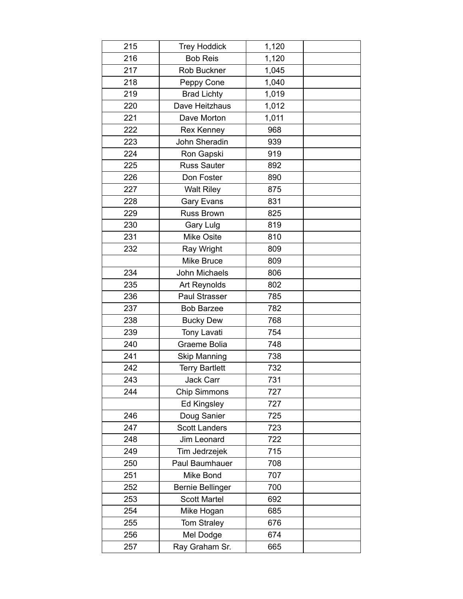| 215 | <b>Trey Hoddick</b>     | 1,120 |  |
|-----|-------------------------|-------|--|
| 216 | <b>Bob Reis</b>         | 1,120 |  |
| 217 | Rob Buckner             | 1,045 |  |
| 218 | Peppy Cone              | 1,040 |  |
| 219 | <b>Brad Lichty</b>      | 1,019 |  |
| 220 | Dave Heitzhaus          | 1,012 |  |
| 221 | Dave Morton             | 1,011 |  |
| 222 | <b>Rex Kenney</b>       | 968   |  |
| 223 | John Sheradin           | 939   |  |
| 224 | Ron Gapski              | 919   |  |
| 225 | <b>Russ Sauter</b>      | 892   |  |
| 226 | Don Foster              | 890   |  |
| 227 | <b>Walt Riley</b>       | 875   |  |
| 228 | <b>Gary Evans</b>       | 831   |  |
| 229 | <b>Russ Brown</b>       | 825   |  |
| 230 | Gary Lulg               | 819   |  |
| 231 | <b>Mike Osite</b>       | 810   |  |
| 232 | Ray Wright              | 809   |  |
|     | Mike Bruce              | 809   |  |
| 234 | John Michaels           | 806   |  |
| 235 | Art Reynolds            | 802   |  |
| 236 | Paul Strasser           | 785   |  |
| 237 | <b>Bob Barzee</b>       | 782   |  |
| 238 | <b>Bucky Dew</b>        | 768   |  |
| 239 | <b>Tony Lavati</b>      | 754   |  |
| 240 | Graeme Bolia            | 748   |  |
| 241 | <b>Skip Manning</b>     | 738   |  |
| 242 | <b>Terry Bartlett</b>   | 732   |  |
| 243 | Jack Carr               | 731   |  |
| 244 | <b>Chip Simmons</b>     | 727   |  |
|     | <b>Ed Kingsley</b>      | 727   |  |
| 246 | Doug Sanier             | 725   |  |
| 247 | <b>Scott Landers</b>    | 723   |  |
| 248 | Jim Leonard             | 722   |  |
| 249 | Tim Jedrzejek           | 715   |  |
| 250 | Paul Baumhauer          | 708   |  |
| 251 | Mike Bond               | 707   |  |
| 252 | <b>Bernie Bellinger</b> | 700   |  |
| 253 | <b>Scott Martel</b>     | 692   |  |
| 254 | Mike Hogan              | 685   |  |
| 255 | Tom Straley             | 676   |  |
| 256 | Mel Dodge               | 674   |  |
| 257 | Ray Graham Sr.          | 665   |  |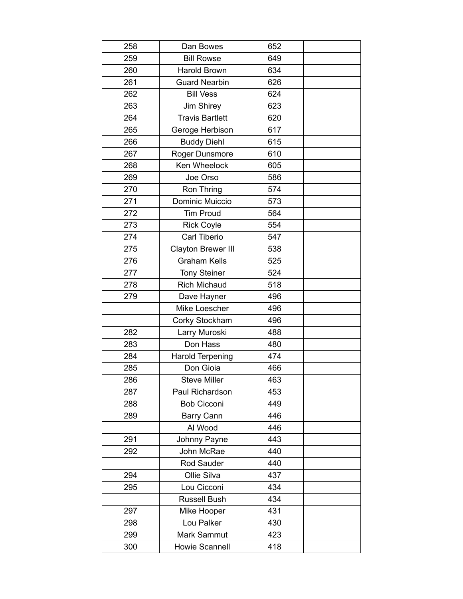| 258 | Dan Bowes               | 652 |  |
|-----|-------------------------|-----|--|
| 259 | <b>Bill Rowse</b>       | 649 |  |
| 260 | Harold Brown            | 634 |  |
| 261 | <b>Guard Nearbin</b>    | 626 |  |
| 262 | <b>Bill Vess</b>        | 624 |  |
| 263 | Jim Shirey              | 623 |  |
| 264 | <b>Travis Bartlett</b>  | 620 |  |
| 265 | Geroge Herbison         | 617 |  |
| 266 | <b>Buddy Diehl</b>      | 615 |  |
| 267 | Roger Dunsmore          | 610 |  |
| 268 | Ken Wheelock            | 605 |  |
| 269 | Joe Orso                | 586 |  |
| 270 | Ron Thring              | 574 |  |
| 271 | Dominic Muiccio         | 573 |  |
| 272 | <b>Tim Proud</b>        | 564 |  |
| 273 | <b>Rick Coyle</b>       | 554 |  |
| 274 | Carl Tiberio            | 547 |  |
| 275 | Clayton Brewer III      | 538 |  |
| 276 | <b>Graham Kells</b>     | 525 |  |
| 277 | <b>Tony Steiner</b>     | 524 |  |
| 278 | <b>Rich Michaud</b>     | 518 |  |
| 279 | Dave Hayner             | 496 |  |
|     | Mike Loescher           | 496 |  |
|     | Corky Stockham          | 496 |  |
| 282 | Larry Muroski           | 488 |  |
| 283 | Don Hass                | 480 |  |
| 284 | <b>Harold Terpening</b> | 474 |  |
| 285 | Don Gioia               | 466 |  |
| 286 | <b>Steve Miller</b>     | 463 |  |
| 287 | Paul Richardson         | 453 |  |
| 288 | <b>Bob Cicconi</b>      | 449 |  |
| 289 | Barry Cann              | 446 |  |
|     | Al Wood                 | 446 |  |
| 291 | Johnny Payne            | 443 |  |
| 292 | John McRae              | 440 |  |
|     | Rod Sauder              | 440 |  |
| 294 | Ollie Silva             | 437 |  |
| 295 | Lou Cicconi             | 434 |  |
|     | <b>Russell Bush</b>     | 434 |  |
| 297 | Mike Hooper             | 431 |  |
| 298 | Lou Palker              | 430 |  |
| 299 | Mark Sammut             | 423 |  |
| 300 | Howie Scannell          | 418 |  |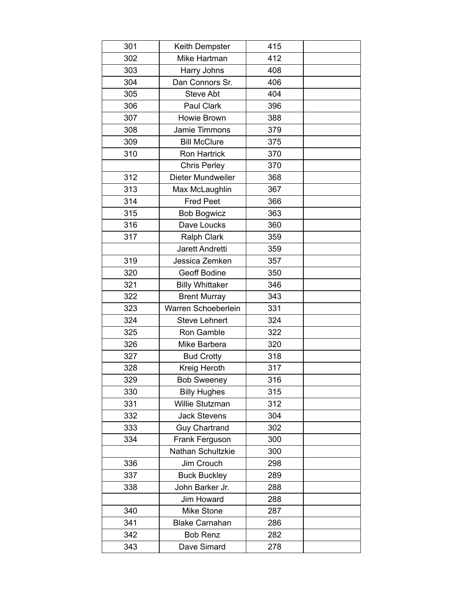| 301 | Keith Dempster         | 415 |  |
|-----|------------------------|-----|--|
| 302 | Mike Hartman           | 412 |  |
| 303 | Harry Johns            | 408 |  |
| 304 | Dan Connors Sr.        | 406 |  |
| 305 | <b>Steve Abt</b>       | 404 |  |
| 306 | Paul Clark             | 396 |  |
| 307 | Howie Brown            | 388 |  |
| 308 | Jamie Timmons          | 379 |  |
| 309 | <b>Bill McClure</b>    | 375 |  |
| 310 | Ron Hartrick           | 370 |  |
|     | <b>Chris Perley</b>    | 370 |  |
| 312 | Dieter Mundweiler      | 368 |  |
| 313 | Max McLaughlin         | 367 |  |
| 314 | <b>Fred Peet</b>       | 366 |  |
| 315 | <b>Bob Bogwicz</b>     | 363 |  |
| 316 | Dave Loucks            | 360 |  |
| 317 | <b>Ralph Clark</b>     | 359 |  |
|     | Jarett Andretti        | 359 |  |
| 319 | Jessica Zemken         | 357 |  |
| 320 | Geoff Bodine           | 350 |  |
| 321 | <b>Billy Whittaker</b> | 346 |  |
| 322 | <b>Brent Murray</b>    | 343 |  |
| 323 | Warren Schoeberlein    | 331 |  |
| 324 | <b>Steve Lehnert</b>   | 324 |  |
| 325 | Ron Gamble             | 322 |  |
| 326 | Mike Barbera           | 320 |  |
| 327 | <b>Bud Crotty</b>      | 318 |  |
| 328 | Kreig Heroth           | 317 |  |
| 329 | <b>Bob Sweeney</b>     | 316 |  |
| 330 | <b>Billy Hughes</b>    | 315 |  |
| 331 | Willie Stutzman        | 312 |  |
| 332 | <b>Jack Stevens</b>    | 304 |  |
| 333 | <b>Guy Chartrand</b>   | 302 |  |
| 334 | Frank Ferguson         | 300 |  |
|     | Nathan Schultzkie      | 300 |  |
| 336 | Jim Crouch             | 298 |  |
| 337 | <b>Buck Buckley</b>    | 289 |  |
| 338 | John Barker Jr.        | 288 |  |
|     | Jim Howard             | 288 |  |
| 340 | Mike Stone             | 287 |  |
| 341 | <b>Blake Carnahan</b>  | 286 |  |
| 342 | <b>Bob Renz</b>        | 282 |  |
| 343 | Dave Simard            | 278 |  |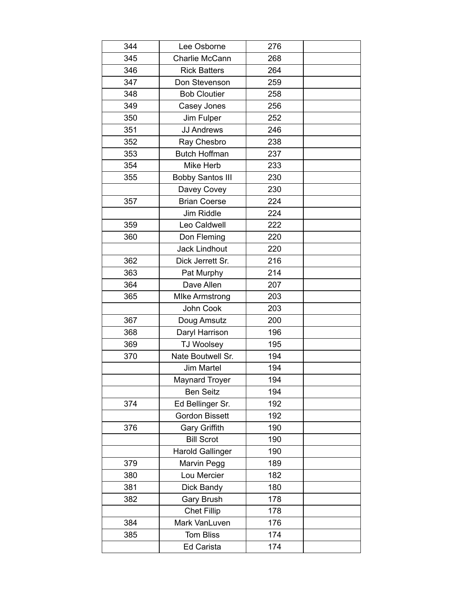| 344 | Lee Osborne             | 276 |  |
|-----|-------------------------|-----|--|
| 345 | Charlie McCann          | 268 |  |
| 346 | <b>Rick Batters</b>     | 264 |  |
| 347 | Don Stevenson           | 259 |  |
| 348 | <b>Bob Cloutier</b>     | 258 |  |
| 349 | Casey Jones             | 256 |  |
| 350 | Jim Fulper              | 252 |  |
| 351 | <b>JJ Andrews</b>       | 246 |  |
| 352 | Ray Chesbro             | 238 |  |
| 353 | <b>Butch Hoffman</b>    | 237 |  |
| 354 | Mike Herb               | 233 |  |
| 355 | <b>Bobby Santos III</b> | 230 |  |
|     | Davey Covey             | 230 |  |
| 357 | <b>Brian Coerse</b>     | 224 |  |
|     | <b>Jim Riddle</b>       | 224 |  |
| 359 | Leo Caldwell            | 222 |  |
| 360 | Don Fleming             | 220 |  |
|     | <b>Jack Lindhout</b>    | 220 |  |
| 362 | Dick Jerrett Sr.        | 216 |  |
| 363 | Pat Murphy              | 214 |  |
| 364 | Dave Allen              | 207 |  |
| 365 | <b>MIke Armstrong</b>   | 203 |  |
|     | John Cook               | 203 |  |
| 367 | Doug Amsutz             | 200 |  |
| 368 | Daryl Harrison          | 196 |  |
| 369 | <b>TJ Woolsey</b>       | 195 |  |
| 370 | Nate Boutwell Sr.       | 194 |  |
|     | Jim Martel              | 194 |  |
|     | <b>Maynard Troyer</b>   | 194 |  |
|     | <b>Ben Seitz</b>        | 194 |  |
| 374 | Ed Bellinger Sr.        | 192 |  |
|     | <b>Gordon Bissett</b>   | 192 |  |
| 376 | <b>Gary Griffith</b>    | 190 |  |
|     | <b>Bill Scrot</b>       | 190 |  |
|     | <b>Harold Gallinger</b> | 190 |  |
| 379 | Marvin Pegg             | 189 |  |
| 380 | Lou Mercier             | 182 |  |
| 381 | Dick Bandy              | 180 |  |
| 382 | Gary Brush              | 178 |  |
|     | <b>Chet Fillip</b>      | 178 |  |
| 384 | Mark VanLuven           | 176 |  |
| 385 | <b>Tom Bliss</b>        | 174 |  |
|     | <b>Ed Carista</b>       | 174 |  |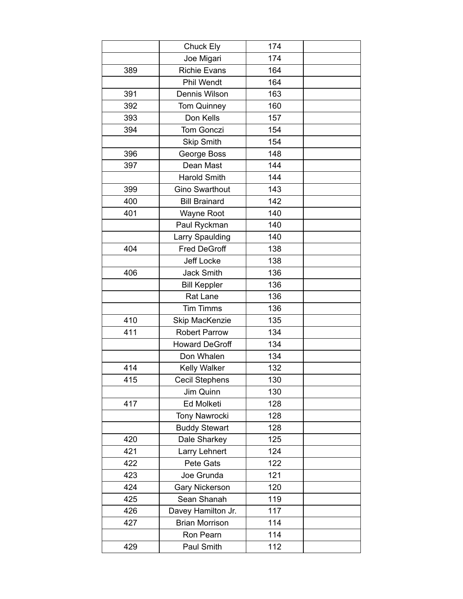|     | Chuck Ely             | 174 |  |
|-----|-----------------------|-----|--|
|     | Joe Migari            | 174 |  |
| 389 | <b>Richie Evans</b>   | 164 |  |
|     | <b>Phil Wendt</b>     | 164 |  |
| 391 | Dennis Wilson         | 163 |  |
| 392 | <b>Tom Quinney</b>    | 160 |  |
| 393 | Don Kells             | 157 |  |
| 394 | Tom Gonczi            | 154 |  |
|     | <b>Skip Smith</b>     | 154 |  |
| 396 | George Boss           | 148 |  |
| 397 | Dean Mast             | 144 |  |
|     | <b>Harold Smith</b>   | 144 |  |
| 399 | <b>Gino Swarthout</b> | 143 |  |
| 400 | <b>Bill Brainard</b>  | 142 |  |
| 401 | <b>Wayne Root</b>     | 140 |  |
|     | Paul Ryckman          | 140 |  |
|     | Larry Spaulding       | 140 |  |
| 404 | <b>Fred DeGroff</b>   | 138 |  |
|     | Jeff Locke            | 138 |  |
| 406 | <b>Jack Smith</b>     | 136 |  |
|     | <b>Bill Keppler</b>   | 136 |  |
|     | Rat Lane              | 136 |  |
|     | <b>Tim Timms</b>      | 136 |  |
| 410 | Skip MacKenzie        | 135 |  |
| 411 | <b>Robert Parrow</b>  | 134 |  |
|     | <b>Howard DeGroff</b> | 134 |  |
|     | Don Whalen            | 134 |  |
| 414 | Kelly Walker          | 132 |  |
| 415 | Cecil Stephens        | 130 |  |
|     | Jim Quinn             | 130 |  |
| 417 | Ed Molketi            | 128 |  |
|     | <b>Tony Nawrocki</b>  | 128 |  |
|     | <b>Buddy Stewart</b>  | 128 |  |
| 420 | Dale Sharkey          | 125 |  |
| 421 | Larry Lehnert         | 124 |  |
| 422 | Pete Gats             | 122 |  |
| 423 | Joe Grunda            | 121 |  |
| 424 | <b>Gary Nickerson</b> | 120 |  |
| 425 | Sean Shanah           | 119 |  |
| 426 | Davey Hamilton Jr.    | 117 |  |
| 427 | <b>Brian Morrison</b> | 114 |  |
|     | Ron Pearn             | 114 |  |
| 429 | Paul Smith            | 112 |  |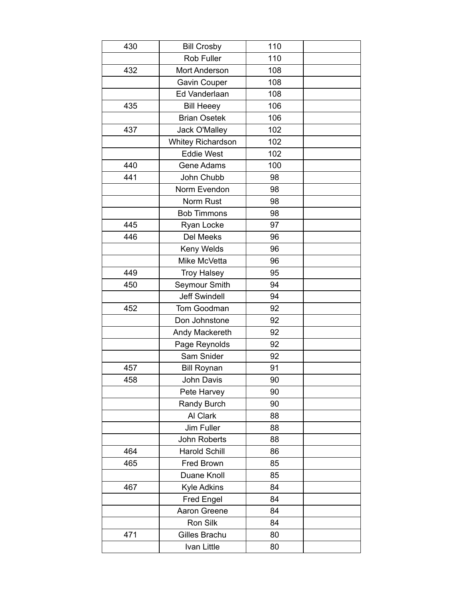| 430 | <b>Bill Crosby</b>       | 110 |  |
|-----|--------------------------|-----|--|
|     | Rob Fuller               | 110 |  |
| 432 | Mort Anderson            | 108 |  |
|     | Gavin Couper             | 108 |  |
|     | Ed Vanderlaan            | 108 |  |
| 435 | <b>Bill Heeey</b>        | 106 |  |
|     | <b>Brian Osetek</b>      | 106 |  |
| 437 | <b>Jack O'Malley</b>     | 102 |  |
|     | <b>Whitey Richardson</b> | 102 |  |
|     | <b>Eddie West</b>        | 102 |  |
| 440 | Gene Adams               | 100 |  |
| 441 | John Chubb               | 98  |  |
|     | Norm Evendon             | 98  |  |
|     | Norm Rust                | 98  |  |
|     | <b>Bob Timmons</b>       | 98  |  |
| 445 | Ryan Locke               | 97  |  |
| 446 | Del Meeks                | 96  |  |
|     | Keny Welds               | 96  |  |
|     | Mike McVetta             | 96  |  |
| 449 | <b>Troy Halsey</b>       | 95  |  |
| 450 | Seymour Smith            | 94  |  |
|     | <b>Jeff Swindell</b>     | 94  |  |
| 452 | Tom Goodman              | 92  |  |
|     | Don Johnstone            | 92  |  |
|     | Andy Mackereth           | 92  |  |
|     | Page Reynolds            | 92  |  |
|     | Sam Snider               | 92  |  |
| 457 | <b>Bill Roynan</b>       | 91  |  |
| 458 | John Davis               | 90  |  |
|     | Pete Harvey              | 90  |  |
|     | <b>Randy Burch</b>       | 90  |  |
|     | Al Clark                 | 88  |  |
|     | Jim Fuller               | 88  |  |
|     | John Roberts             | 88  |  |
| 464 | <b>Harold Schill</b>     | 86  |  |
| 465 | Fred Brown               | 85  |  |
|     | Duane Knoll              | 85  |  |
| 467 | Kyle Adkins              | 84  |  |
|     | <b>Fred Engel</b>        | 84  |  |
|     | Aaron Greene             | 84  |  |
|     | Ron Silk                 | 84  |  |
| 471 | Gilles Brachu            | 80  |  |
|     | Ivan Little              | 80  |  |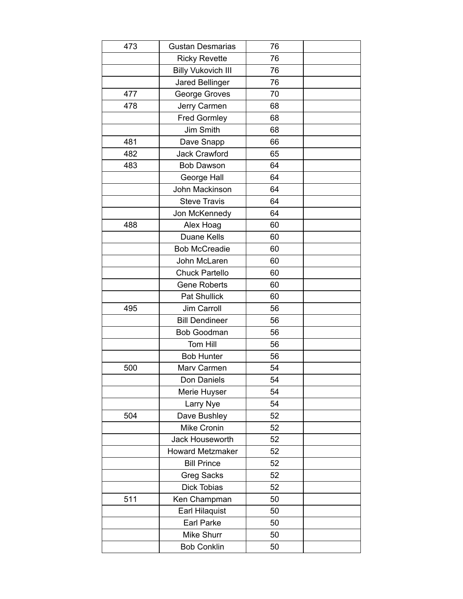| 473 | <b>Gustan Desmarias</b>   | 76 |  |
|-----|---------------------------|----|--|
|     | <b>Ricky Revette</b>      | 76 |  |
|     | <b>Billy Vukovich III</b> | 76 |  |
|     | <b>Jared Bellinger</b>    | 76 |  |
| 477 | George Groves             | 70 |  |
| 478 | Jerry Carmen              | 68 |  |
|     | <b>Fred Gormley</b>       | 68 |  |
|     | Jim Smith                 | 68 |  |
| 481 | Dave Snapp                | 66 |  |
| 482 | Jack Crawford             | 65 |  |
| 483 | <b>Bob Dawson</b>         | 64 |  |
|     | George Hall               | 64 |  |
|     | John Mackinson            | 64 |  |
|     | <b>Steve Travis</b>       | 64 |  |
|     | Jon McKennedy             | 64 |  |
| 488 | Alex Hoag                 | 60 |  |
|     | Duane Kells               | 60 |  |
|     | <b>Bob McCreadie</b>      | 60 |  |
|     | John McLaren              | 60 |  |
|     | <b>Chuck Partello</b>     | 60 |  |
|     | <b>Gene Roberts</b>       | 60 |  |
|     | <b>Pat Shullick</b>       | 60 |  |
| 495 | Jim Carroll               | 56 |  |
|     | <b>Bill Dendineer</b>     | 56 |  |
|     | <b>Bob Goodman</b>        | 56 |  |
|     | Tom Hill                  | 56 |  |
|     | <b>Bob Hunter</b>         | 56 |  |
| 500 | Marv Carmen               | 54 |  |
|     | Don Daniels               | 54 |  |
|     | Merie Huyser              | 54 |  |
|     | Larry Nye                 | 54 |  |
| 504 | Dave Bushley              | 52 |  |
|     | Mike Cronin               | 52 |  |
|     | Jack Houseworth           | 52 |  |
|     | <b>Howard Metzmaker</b>   | 52 |  |
|     | <b>Bill Prince</b>        | 52 |  |
|     | <b>Greg Sacks</b>         | 52 |  |
|     | Dick Tobias               | 52 |  |
| 511 | Ken Champman              | 50 |  |
|     | Earl Hilaquist            | 50 |  |
|     | Earl Parke                | 50 |  |
|     | Mike Shurr                | 50 |  |
|     | <b>Bob Conklin</b>        | 50 |  |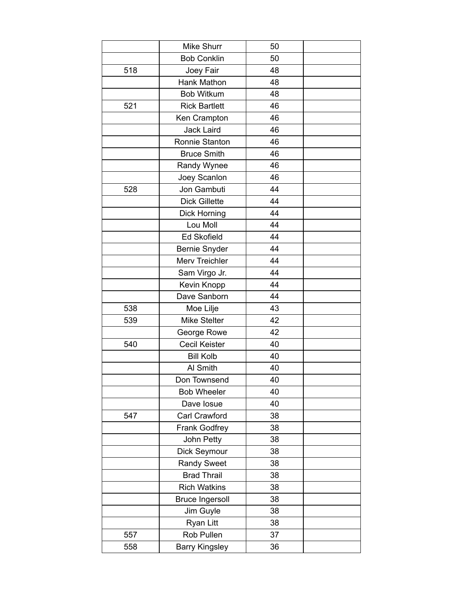|     | Mike Shurr             | 50 |  |
|-----|------------------------|----|--|
|     | <b>Bob Conklin</b>     | 50 |  |
| 518 | Joey Fair              | 48 |  |
|     | Hank Mathon            | 48 |  |
|     | <b>Bob Witkum</b>      | 48 |  |
| 521 | <b>Rick Bartlett</b>   | 46 |  |
|     | Ken Crampton           | 46 |  |
|     | Jack Laird             | 46 |  |
|     | Ronnie Stanton         | 46 |  |
|     | <b>Bruce Smith</b>     | 46 |  |
|     | Randy Wynee            | 46 |  |
|     | Joey Scanlon           | 46 |  |
| 528 | Jon Gambuti            | 44 |  |
|     | <b>Dick Gillette</b>   | 44 |  |
|     | <b>Dick Horning</b>    | 44 |  |
|     | Lou Moll               | 44 |  |
|     | <b>Ed Skofield</b>     | 44 |  |
|     | Bernie Snyder          | 44 |  |
|     | Merv Treichler         | 44 |  |
|     | Sam Virgo Jr.          | 44 |  |
|     | Kevin Knopp            | 44 |  |
|     | Dave Sanborn           | 44 |  |
| 538 | Moe Lilje              | 43 |  |
| 539 | Mike Stelter           | 42 |  |
|     | George Rowe            | 42 |  |
| 540 | <b>Cecil Keister</b>   | 40 |  |
|     | <b>Bill Kolb</b>       | 40 |  |
|     | Al Smith               | 40 |  |
|     | Don Townsend           | 40 |  |
|     | <b>Bob Wheeler</b>     | 40 |  |
|     | Dave losue             | 40 |  |
| 547 | Carl Crawford          | 38 |  |
|     | <b>Frank Godfrey</b>   | 38 |  |
|     | John Petty             | 38 |  |
|     | Dick Seymour           | 38 |  |
|     | <b>Randy Sweet</b>     | 38 |  |
|     | <b>Brad Thrail</b>     | 38 |  |
|     | <b>Rich Watkins</b>    | 38 |  |
|     | <b>Bruce Ingersoll</b> | 38 |  |
|     | Jim Guyle              | 38 |  |
|     | Ryan Litt              | 38 |  |
| 557 | Rob Pullen             | 37 |  |
| 558 | <b>Barry Kingsley</b>  | 36 |  |